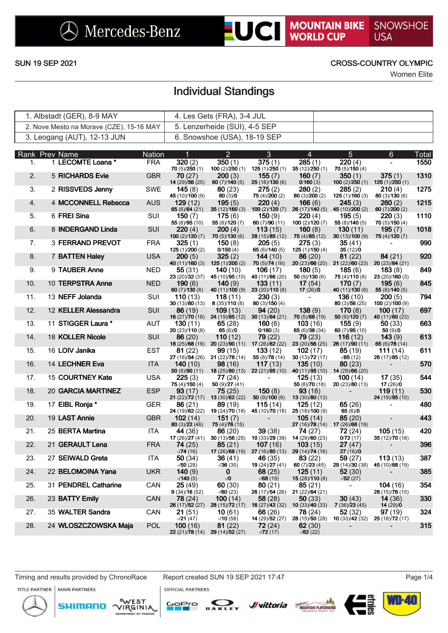**LUCI MOUNTAIN BIKE** SNOWSHOE **USA** 

## SUN 19 SEP 2021 CROSS-COUNTRY OLYMPIC

Women Elite

# Individual Standings

| 1. Albstadt (GER), 8-9 MAY               | 4. Les Gets (FRA), 3-4 JUL    |  |
|------------------------------------------|-------------------------------|--|
| 2. Nove Mesto na Morave (CZE), 15-16 MAY | 5. Lenzerheide (SUI), 4-5 SEP |  |
| 3. Leogang (AUT), 12-13 JUN              | 6. Snowshoe (USA), 18-19 SEP  |  |

|     | Rank Prev Name       | <b>Nation</b> | И                                    | $\overline{2}$                                                                                                         | 3                                                                      | 4                                         | 5                                                         | 6                                         | Total |
|-----|----------------------|---------------|--------------------------------------|------------------------------------------------------------------------------------------------------------------------|------------------------------------------------------------------------|-------------------------------------------|-----------------------------------------------------------|-------------------------------------------|-------|
| 1.  | 1 LECOMTE Loana *    | <b>FRA</b>    | 320(2)<br>70(5)/250(1)               | 350(1)<br>100(2)/250(1)                                                                                                | 375(1)                                                                 | 285(1)<br>125 (1)/250 (1) 35 (12)/250 (1) | 220(4)<br>70(5)/150(4)                                    |                                           | 1550  |
| 2.  | 5 RICHARDS Evie      | <b>GBR</b>    | 70(27)<br>14 (29)/56 (25)            | 200(3)<br>60(7)/140(5)                                                                                                 | 155(7)<br>25(18)/130(6)                                                | 160(7)<br>0/160(3)                        | 350(1)                                                    | 375(1)<br>100 (2)/250 (1) 125 (1)/250 (1) | 1310  |
| 3.  | 2 RISSVEDS Jenny     | <b>SWE</b>    | 145(8)<br>45 (10)/100 (9)            | 80(23)<br>80(3)/0                                                                                                      | 275(2)<br>75 $(4)/200(2)$                                              | 280(2)<br>80(3)/200(2)                    | 285(2)<br>125(1)/160(3)                                   | 210(4)<br>80(3)/130(6)                    | 1275  |
| 4.  | 4 MCCONNELL Rebecca  | <b>AUS</b>    | 129(12)<br>65 $(6)/64(21)$           | 195(5)<br>35(12)/160(3)                                                                                                | 220(4)<br>100(2)/120(7)                                                | 166(6)<br>26(17)/140(5)                   | 245(3)<br>45 (10)/200 (2)                                 | 260(2)<br>60(7)/200(2)                    | 1215  |
| 5.  | 6 FREI Sina          | <b>SUI</b>    | 150 $(7)$<br>55 (8)/95 (10)          | 175(6)<br>55 $(8)/120(7)$                                                                                              | 150(9)<br>60 $(7)/90(11)$                                              | 220(4)<br>100(2)/120(7)                   | 195(5)<br>55(8)/140(5)                                    | 220(3)<br>70(5)/150(4)                    | 1110  |
| 6.  | 8 INDERGAND Linda    | SUI           | 220(4)<br>100(2)/120(7)              | 200(4)<br>70(5)/130(6)                                                                                                 | 113(15)<br>28(15)/85(12)                                               | 160(8)<br>75(4)/85(12)                    | 130(11)<br>30(13)/100(9)                                  | 195 $(7)$<br>75 (4)/120 (7)               | 1018  |
| 7.  | 3 FERRAND PREVOT     | <b>FRA</b>    | 325(1)<br>125(1)/200(2)              | 150(8)<br>0/150(4)                                                                                                     | 205(5)<br>65(6)/140(5)                                                 | 275(3)<br>125(1)/150(4)                   | 35(41)<br>35(12)/0                                        |                                           | 990   |
| 8.  | 7 BATTEN Haley       | <b>USA</b>    | 200(5)                               | 325(2)<br>40 (11)/160 (3) 125 (1)/200 (2)                                                                              | 144(10)<br>70(5)/74(16)                                                | 86(20)                                    | 81(22)<br>20 (23)/66 (20) 21 (22)/60 (23) 20 (23)/64 (21) | 84(21)                                    | 920   |
| 9.  | 9 TAUBER Anne        | <b>NED</b>    | 55 (31)<br>23 (20)/32 (37)           | <b>140</b> (10)<br>45 (10)/95 (10)                                                                                     | 106(17)<br>40 (11)/66 (20)                                             | 180(5)<br>50(9)/130(6)                    | 185(6)<br>75 (4)/110 (8)                                  | 183(8)<br>23(20)/160(3)                   | 849   |
| 10. | 10 TERPSTRA Anne     | <b>NED</b>    | 190(6)<br>60(7)/130(6)               | 140(9)                                                                                                                 | 133(11)<br>40 (11)/100 (9) 23 (20)/110 (8)                             | 17(54)<br>17(26)/0                        | 170(7)<br>40 (11)/130 (6)                                 | 195(6)<br>55(8)/140(5)                    | 845   |
| 11. | 13 NEFF Jolanda      | <b>SUI</b>    | 110(13)<br>30(13)/80(13)             | <b>118</b> (11)<br>8(35)/110(8)                                                                                        | 230(3)<br>80(3)/150(4)                                                 |                                           | 136(10)<br>80(3)/56(25)                                   | <b>200</b> (5)<br>100(2)/100(9)           | 794   |
| 12. | 12 KELLER Alessandra | <b>SUI</b>    | 86 (19)                              | 109(13)<br><b>16</b> (27) $\overline{70}$ (18) <b>24</b> (19) $\overline{85}$ (12) <b>30</b> (13) $\overline{64}$ (21) | 94(20)                                                                 | 138(9)<br>70(5)/68(19)                    | 170(8)<br>50(9)/120(7)                                    | <b>100</b> $(17)$<br>40 $(11)/60(23)$     | 697   |
| 13. | 11 STIGGER Laura *   | AUT           | <b>130</b> $(11)$<br>20 (23)/110 (8) | 65 $(28)$<br>65 (6)/0                                                                                                  | 160(6)<br>0/160(3)                                                     | 103(16)<br>65 (6)/38 (34)                 | 155(9)<br>60(7)/95(10)                                    | 50(33)<br>50(9)/0                         | 663   |
| 14. | 18 KOLLER Nicole     | <b>SUI</b>    | 86(20)                               | 110(12)<br><b>18</b> (25)/ <b>68</b> (19) <b>20</b> (23)/ <b>90</b> (11) <b>17</b> (26)/ <b>62</b> (22)                | 79 (22)                                                                | 79 (23)<br>23(20)/56(25)                  | 116(12)<br>26(17)/90(11)                                  | 143(9)<br>65 (6)/78 (14)                  | 613   |
| 15. | 16 LOIV Janika       | EST           | 81(22)                               | 99(15)<br><b>27</b> (16) $/54$ (26) <b>21</b> (22) $/78$ (14)                                                          | 133(12)<br>55 (8)/78 (14)                                              | 102(17)<br>30 $(13)/72(17)$               | 85(19)<br>$-185(12)$                                      | 111 $(14)$<br>26 (17)/85 (12)             | 611   |
| 16. | 14 LECHNER Eva       | <b>ITA</b>    | 140(10)<br>50 (9)/90 (11)            | 98(16)<br><b>18</b> (25)/ <b>80</b> (13)                                                                               | 117(13)<br>22(21)/95(10)                                               | 135(10)<br>40 $(11)/95(10)$               | 80(23)<br>14 (29)/66 (20)                                 |                                           | 570   |
| 17. | 15 COURTNEY Kate     | <b>USA</b>    | 225(3)<br>75(4)/150(4)               | 77 (24)<br>50 $(9)/27(41)$                                                                                             |                                                                        | 125(13)<br>55 (8)/70 (18)                 | <b>100</b> $(14)$<br>20(23)/80(13)                        | 17(35)<br>17(26)/0                        | 544   |
| 18. | 20 GARCIA MARTINEZ   | <b>ESP</b>    | 93(17)<br>21(22)/72(17)              | 75(25)<br>13(30)/62(22)                                                                                                | 150(8)<br>50(9)/100(9)                                                 | 93(18)<br>13 (30)/80 (13)                 |                                                           | 119(11)<br>24 (19)/95 (10)                | 530   |
| 19. | 17 EIBL Ronja *      | <b>GER</b>    | 86(21)<br>24 (19)/62 (22)            | 89 (19)                                                                                                                | 115(14)<br><b>19</b> (24) <b>70</b> (18) <b>45</b> (10) <b>70</b> (18) | 125(12)<br>25(18)/100(9)                  | 65(26)<br>65(6)/0                                         |                                           | 480   |
| 20. | 19 LAST Annie        | <b>GBR</b>    | 102(14)<br>80 (3)/22 (46)            | 151(7)<br>75 (4)/76 (15)                                                                                               |                                                                        | 105(14)                                   | 85(20)<br>27 (16)/78 (14) 17 (26)/68 (19)                 |                                           | 443   |
| 21. | 25 BERTA Martina     | <b>ITA</b>    | <b>44</b> (36)<br>17 (26) $/27(41)$  | 86(20)<br>30 $(13)/56(25)$                                                                                             | 39(38)<br>10(33)/29(39)                                                | 74 (27)<br>14 (29)/60 (23)                | 72(24)<br>0/72(17)                                        | 105(15)<br>35 (12)/70 (18)                | 420   |
| 22. | 21 GERAULT Lena      | <b>FRA</b>    | 74 (25)<br>$-74(16)$                 | 85(21)                                                                                                                 | 107(16)<br>17 (26) 68 (19) 27 (16) /80 (13) 29 (14) 74 (16)            | 103(15)                                   | 27(47)<br>27(16)/0                                        |                                           | 396   |
| 23. | 27 SEIWALD Greta     | <b>ITA</b>    | 50(34)<br>$-150(28)$                 | 36(41)<br>$-36(35)$                                                                                                    | 46 (35)<br>19 $(24)/27(41)$                                            | 83(22)<br>60 $(7)/23(45)$                 | 59(27)<br>29(14)/30(38)                                   | 113(13)<br>45 (10)/68 (19)                | 387   |
| 24. | 22 BELOMOINA Yana    | <b>UKR</b>    | 140(9)<br>$-140(5)$                  | $\mathbf 0$<br>$-10$                                                                                                   | 68(25)<br>$-168(19)$                                                   | 125(11)<br>15 (28)/110 (8)                | 52(30)<br>$-152(27)$                                      |                                           | 385   |
| 25. | 31 PENDREL Catharine | CAN           | 25(49)<br>9(34)/16(52)               | 60(30)<br>$-760(23)$                                                                                                   | 80(21)                                                                 | 85(21)<br>26 (17)/54 (26) 21 (22)/64 (21) |                                                           | <b>104</b> (16)<br>28 (15)/76 (15)        | 354   |
| 26. | 23 BATTY Emily       | <b>CAN</b>    | 78 (24)<br>26(17)/52(27)             | 100(14)<br>28 (15)/72 (17)                                                                                             | 58 (28)<br>16 (27)/42 (32)                                             | 50(33)<br>10(33)/40(33)                   | 30(43)<br>7(36)/23(45)                                    | 14(36)<br>14(29)/0                        | 330   |
| 27. | 35 WALTER Sandra     | CAN           | 21(51)<br>$-121(47)$                 | 10(61)<br>$-10(58)$                                                                                                    | 66 (26)<br>14 (29)/52 (27)                                             | 78 (24)<br>28(15)/50(28)                  | 52(32)<br><b>10</b> (33)/ <b>42</b> (32)                  | 97(19)<br>25(18)/72(17)                   | 324   |
| 28. | 24 WLOSZCZOWSKA Maja | <b>POL</b>    | 100(16)<br>22 (21)/78 (14)           | 81(22)<br>29 (14)/52 (27)                                                                                              | 72 (24)<br>$-72(17)$                                                   | 62(30)<br>$-162(22)$                      |                                                           |                                           | 315   |
|     |                      |               |                                      |                                                                                                                        |                                                                        |                                           |                                                           |                                           |       |

Timing and results provided by ChronoRace Report created SUN 19 SEP 2021 17:47

**OFFICIAL PARTNERS** 

TITLE PARTNER **MAIN PARTNERS** 







 $\boldsymbol{y}$ vittoria  $\frac{N_{\text{MQUNTAIN}}}{\text{MQUNTAIN PLAYGS}}$ 

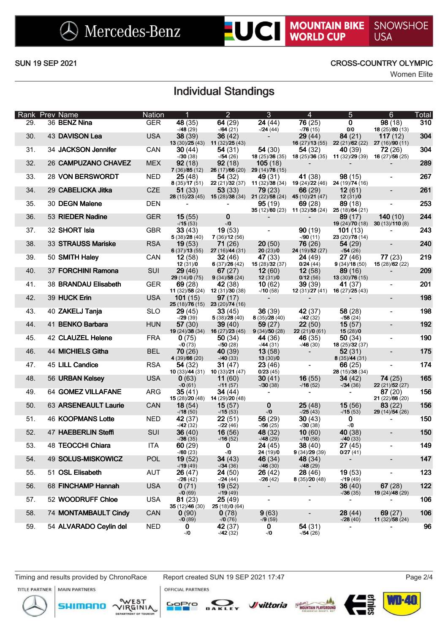**LUCI MOUNTAIN BIKE** SNOWSHOE

## SUN 19 SEP 2021 CROSS-COUNTRY OLYMPIC

Women Elite

# Individual Standings

|     | Rank Prev Name            | <b>Nation</b> |                                    | $\overline{2}$                                                                | 3                                                                         | 4                                                                         | 5                                                                                                           | $6\phantom{1}$                                        | Total |
|-----|---------------------------|---------------|------------------------------------|-------------------------------------------------------------------------------|---------------------------------------------------------------------------|---------------------------------------------------------------------------|-------------------------------------------------------------------------------------------------------------|-------------------------------------------------------|-------|
| 29. | 36 BENZ Nina              | <b>GER</b>    | 48 (35)<br>$-48(29)$               | 64(29)<br>$-164(21)$                                                          | 24(44)<br>$-24(44)$                                                       | 76(25)<br>$-76(15)$                                                       | $\mathbf 0$<br>0/0                                                                                          | 98(18)<br>18 $(25)/80(13)$                            | 310   |
| 30. | 43 DAVISON Lea            | <b>USA</b>    | 38(39)                             | 36(42)<br><b>13</b> (30)/ <b>25</b> (43) <b>11</b> (32)/ <b>25</b> (43)       |                                                                           | 29(44)                                                                    | 84(21)<br>16 (27) (13 (55) 22 (21) (62 (22) 27 (16) (90 (11)                                                | 117(12)                                               | 304   |
| 31. | 34 JACKSON Jennifer       | CAN           | 30(44)                             | 54(31)                                                                        | 54(30)                                                                    | 54 (32)                                                                   | <b>40</b> (39)<br><b>18</b> (25) <b>36</b> (35) <b>11</b> (32) <b>29</b> (39) <b>16</b> (27) <b>56</b> (25) | 72(26)                                                | 304   |
| 32. | 26 CAMPUZANO CHAVEZ       | <b>MEX</b>    | $-130(38)$<br>92(18)               | $-754(26)$<br>92(18)                                                          | 18(25)/36(35)<br>105(18)                                                  |                                                                           |                                                                                                             |                                                       | 289   |
| 33. | 28 VON BERSWORDT          | <b>NED</b>    | 7(36)/85(12)<br>25(48)             | 54(32)                                                                        | 26 (17)/66 (20) 29 (14)/76 (15)<br>49 (31)                                | 41 (38)                                                                   | 98(15)                                                                                                      | $\overline{\phantom{a}}$                              | 267   |
| 34. | 29 CABELICKA Jitka        | <b>CZE</b>    | 8(35)/17(51)<br>51(33)             | 53(33)                                                                        | 79(23)                                                                    | 22 (21) 32 (37) 11 (32) 38 (34) 19 (24) 22 (46) 24 (19) 74 (16)<br>66(29) | 12(61)                                                                                                      | $\overline{\phantom{a}}$                              | 261   |
| 35. | 30 DEGN Malene            | <b>DEN</b>    |                                    |                                                                               | 28 (15)/23 (45) 15 (28)/38 (34) 21 (22)/58 (24) 45 (10)/21 (47)<br>95(19) | 69(28)                                                                    | 12(31)/0<br>89(18)                                                                                          |                                                       | 253   |
| 36. | 53 RIEDER Nadine          | <b>GER</b>    | 15(55)                             | 0                                                                             |                                                                           | 35 (12)/60 (23) 11 (32)/58 (24) 25 (18)/64 (21)                           | 89(17)                                                                                                      | 140(10)                                               | 244   |
| 37. | 32 SHORT Isla             | <b>GBR</b>    | $-15(53)$<br>33(43)                | $-10$<br>19(53)                                                               | $\blacksquare$                                                            | 90(19)                                                                    | 101(13)                                                                                                     | <b>19</b> (24)/70 (18) <b>30</b> (13)/ <b>110</b> (8) | 243   |
| 38. | 33 STRAUSS Mariske        | <b>RSA</b>    | 5(38)/28(40)<br>19(53)             | 7(36)/12(56)<br>71(26)                                                        | 20(50)                                                                    | $-90(11)$<br>76 (26)                                                      | 23 (20)/78 (14)<br>54(29)                                                                                   | $\overline{\phantom{a}}$                              | 240   |
|     |                           |               | 6(37)/13(55)                       | 27(16)/44(31)                                                                 | 20(23)/0                                                                  | 24 (19)/52 (27)                                                           | $-154(26)$                                                                                                  |                                                       |       |
| 39. | 50 SMITH Haley            | CAN           | 12(58)                             | 32(46)                                                                        | 47 (33)                                                                   | 24(49)                                                                    | 27 (46)                                                                                                     | 77(23)                                                | 219   |
| 40. | 37 FORCHINI Ramona        | <b>SUI</b>    | 12(31)/0<br>29(46)                 | 6(37)/26(42)<br>67(27)                                                        | 15(28)/32(37)<br>12(60)                                                   | 0/24(44)<br>12(58)                                                        | 9(34)/18(50)<br>89 (16)                                                                                     | 15(28)/62(22)                                         | 209   |
|     |                           |               | 29(14)/0(75)                       | 9(34)/58(24)                                                                  | 12(31)/0                                                                  | 0/12(56)                                                                  | 13(30)/76(15)                                                                                               |                                                       |       |
| 41. | 38 BRANDAU Elisabeth      | <b>GER</b>    | 69(28)                             | <b>42</b> (38)<br><b>11</b> (32) <b>58</b> (24) <b>12</b> (31) <b>30</b> (38) | 10(62)                                                                    | 39(39)                                                                    | 41 (37)                                                                                                     | $\qquad \qquad \blacksquare$                          | 201   |
| 42. | 39 HUCK Erin              | <b>USA</b>    | <b>101</b> (15)                    | 97(17)                                                                        | $-10(58)$                                                                 |                                                                           | <b>12</b> (31) <b>27</b> (41) <b>16</b> (27) <b>25</b> (43)                                                 | $\blacksquare$                                        | 198   |
| 43. | 40 ZAKELJ Tanja           | <b>SLO</b>    | 29(45)                             | $25(18)/76(15)$ 23 (20)/74 (16)<br>33(45)                                     | 36(39)                                                                    | 42(37)                                                                    | 58(28)                                                                                                      | $\overline{\phantom{a}}$                              | 198   |
|     |                           |               | $-29(39)$                          | 5(38)/28(40)                                                                  | 8(35)/28(40)                                                              | $-42(32)$                                                                 | $-158(24)$                                                                                                  |                                                       |       |
| 44. | 41 BENKO Barbara          | <b>HUN</b>    | 57(30)                             | 39(40)<br><b>19</b> (24)/ <b>38</b> (34) <b>16</b> (27)/ <b>23</b> (45)       | 59 (27)<br>9(34)/50(28)                                                   | 22(50)<br>22(21)/0(61)                                                    | 15(57)<br>15(28)/0                                                                                          | $\overline{\phantom{a}}$                              | 192   |
| 45. | 42 CLAUZEL Helene         | <b>FRA</b>    | 0(75)<br>$-70(73)$                 | 50(34)<br>$-50(28)$                                                           | 44 (36)<br>$-44(31)$                                                      | 46 (35)<br>$-46(30)$                                                      | 50(34)<br>18(25)/32(37)                                                                                     | $\overline{\phantom{a}}$                              | 190   |
| 46. | 44 MICHIELS Githa         | <b>BEL</b>    | 70(26)                             | <b>40</b> (39)                                                                | 13(58)                                                                    |                                                                           | 52(31)                                                                                                      | $\overline{\phantom{a}}$                              | 175   |
| 47. | 45 LILL Candice           | <b>RSA</b>    | 4 (39)/66 (20)<br>54(32)           | $-40(33)$<br>31 $(47)$                                                        | 13(30)/0<br>23(46)                                                        |                                                                           | 8(35)/44(31)<br>66 (25)                                                                                     |                                                       | 174   |
| 48. | 56 URBAN Kelsey           | <b>USA</b>    | <b>10</b> (33) $/44$ (31)<br>0(63) | 10 $(33)/21(47)$<br>11(60)                                                    | 0/23(45)<br>30(41)                                                        | 16(55)                                                                    | 28(15)/38(34)<br>34(42)                                                                                     | 74(25)                                                | 165   |
|     |                           |               | $-70(61)$                          | $-11(57)$                                                                     | $-30(38)$                                                                 | $-16(52)$                                                                 | $-134(36)$                                                                                                  | 22(21)/52(27)                                         |       |
| 49. | <b>64 GOMEZ VILLAFANE</b> | ARG           | 35(41)<br>15(28)/20(48)            | 34(44)<br>14 (29)/20 (48)                                                     |                                                                           | $\overline{\phantom{0}}$                                                  | $\blacksquare$                                                                                              | 87(20)<br>21 (22)/66 (20)                             | 156   |
| 50. | 63 ARSENEAULT Laurie      | CAN           | 18(54)<br>$-18(50)$                | 15(57)<br>$-115(53)$                                                          | $\mathbf 0$<br>$-10$                                                      | 25(48)<br>$-25(43)$                                                       | 15(56)<br>$-15(53)$                                                                                         | 83(22)<br>29 (14)/54 (26)                             | 156   |
| 51. | <b>46 KOOPMANS Lotte</b>  | <b>NED</b>    | 42(37)<br>$-42(32)$                | 22(51)<br>$-22(46)$                                                           | 56 $(29)$<br>$-756(25)$                                                   | 30(43)<br>$-730(38)$                                                      | 0<br>$-10$                                                                                                  |                                                       | 150   |
| 52. | 47 HAEBERLIN Steffi       | <b>SUI</b>    | 36(40)<br>$-36(35)$                | 16(56)<br>$-16(52)$                                                           | 48 (32)<br>$-148(29)$                                                     | 10(60)<br>$-10(58)$                                                       | 40(38)<br>$-40(33)$                                                                                         | $\blacksquare$                                        | 150   |
| 53. | 48 TEOCCHI Chiara         | <b>ITA</b>    | 60(29)<br>$-160(23)$               | 0<br>$-10$                                                                    | 24(45)<br>24(19)/0                                                        | 38(40)<br>9(34)/29(39)                                                    | 27(45)<br>0/27(41)                                                                                          | $\blacksquare$                                        | 149   |
| 54. | 49 SOLUS-MISKOWICZ        | POL           | 19(52)<br>$-19(49)$                | 34(43)<br>$-134(36)$                                                          | 46 (34)<br>$-46(30)$                                                      | 48 (34)<br>$-148(29)$                                                     | $\overline{\phantom{a}}$                                                                                    | $\overline{\phantom{a}}$                              | 147   |
| 55. | 51 OSL Elisabeth          | <b>AUT</b>    | 26(47)<br>$-26(42)$                | 24(50)<br>$-124(44)$                                                          | 26(42)<br>$-26(42)$                                                       | 28(46)<br>8(35)/20(48)                                                    | 19(53)<br>$-19(49)$                                                                                         | $\overline{\phantom{a}}$                              | 123   |
| 56. | 68 FINCHAMP Hannah        | <b>USA</b>    | 0(71)<br>$-70(69)$                 | 19(52)<br>$-19(49)$                                                           | -                                                                         |                                                                           | 36(40)<br>$-736(35)$                                                                                        | 67(28)<br>19 (24)/48 (29)                             | 122   |
| 57. | 52 WOODRUFF Chloe         | <b>USA</b>    | 81(23)<br>35 (12)/46 (30)          | 25(49)<br>25(18)/0(64)                                                        | $\overline{\phantom{0}}$                                                  | $\blacksquare$                                                            | $\blacksquare$                                                                                              |                                                       | 106   |
| 58. | 74 MONTAMBAULT Cindy      | CAN           | 0(90)                              | 0(78)<br>$-70(76)$                                                            | 9(63)                                                                     | $\overline{\phantom{a}}$                                                  | 28(44)                                                                                                      | 69(27)                                                | 106   |
| 59. | 54 ALVARADO Ceylin del    | <b>NED</b>    | $-70(89)$<br>0<br>$-10$            | 42 (37)<br>$-42(32)$                                                          | $-9(59)$<br>0<br>$-10$                                                    | 54(31)<br>$-154(26)$                                                      | $-28(40)$<br>$\blacksquare$                                                                                 | 11(32)/58(24)<br>-                                    | 96    |

Timing and results provided by ChronoRace Report created SUN 19 SEP 2021 17:47 Page 2/4 **MAIN PARTNERS** 







**OFFICIAL PARTNERS** 





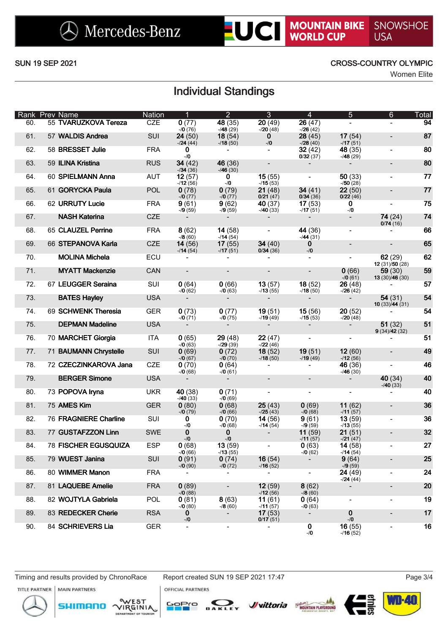**LUCI MOUNTAIN BIKE** SNOWSHOE

## SUN 19 SEP 2021 CROSS-COUNTRY OLYMPIC

Women Elite

# Individual Standings

|     | Rank Prev Name         | <b>Nation</b> | $\overline{1}$       | $\overline{2}$               | 3                        | $\overline{4}$           | 5                    | 6                          | Total     |
|-----|------------------------|---------------|----------------------|------------------------------|--------------------------|--------------------------|----------------------|----------------------------|-----------|
| 60. | 55 TVARUZKOVA Tereza   | <b>CZE</b>    | 0(77)<br>$-70(76)$   | 48 (35)<br>$-48(29)$         | 20(49)<br>$-20(48)$      | 26(47)<br>$-26(42)$      |                      |                            | 94        |
| 61. | 57 WALDIS Andrea       | SUI           | 24(50)<br>$-124(44)$ | 18(54)<br>$-18(50)$          | $\mathbf{0}$<br>$-10$    | 28(45)<br>$-28(40)$      | 17(54)<br>$-17(51)$  |                            | 87        |
| 62. | 58 BRESSET Julie       | <b>FRA</b>    | $\bf{0}$<br>$-10$    |                              |                          | 32(42)<br>0/32(37)       | 48 (35)<br>$-48(29)$ |                            | 80        |
| 63. | 59 ILINA Kristina      | <b>RUS</b>    | 34(42)<br>$-134(36)$ | 46 (36)<br>$-46(30)$         |                          |                          |                      |                            | 80        |
| 64. | 60 SPIELMANN Anna      | <b>AUT</b>    | 12(57)<br>$-12(56)$  | 0<br>$-10$                   | 15(55)<br>$-15(53)$      |                          | 50(33)<br>$-750(28)$ |                            | 77        |
| 65. | 61 GORYCKA Paula       | POL           | 0(78)<br>$-10(77)$   | 0(79)<br>$-10(77)$           | 21(48)<br>0/21(47)       | 34(41)<br>0/34(36)       | 22(50)<br>0/22(46)   |                            | 77        |
| 66. | 62 URRUTY Lucie        | <b>FRA</b>    | 9(61)<br>$-9(59)$    | 9(62)<br>$-79(59)$           | 40 (37)<br>$-40(33)$     | 17(53)<br>$-17(51)$      | 0<br>$-10$           |                            | 75        |
| 67. | <b>NASH Katerina</b>   | CZE           |                      |                              |                          |                          | $\blacksquare$       | 74(24)<br>0/74(16)         | 74        |
| 68. | 65 CLAUZEL Perrine     | <b>FRA</b>    | 8(62)<br>$-78(60)$   | 14(58)<br>$-114(54)$         |                          | 44 (36)<br>$-44(31)$     |                      |                            | 66        |
| 69. | 66 STEPANOVA Karla     | <b>CZE</b>    | 14(56)<br>$-14(54)$  | 17(55)<br>$-17(51)$          | 34(40)<br>0/34(36)       | $\bf{0}$<br>$-10$        |                      |                            | 65        |
| 70. | <b>MOLINA Michela</b>  | ECU           |                      |                              |                          |                          |                      | 62(29)<br>12(31)/50(28)    | 62        |
| 71. | <b>MYATT Mackenzie</b> | CAN           | $\blacksquare$       | $\blacksquare$               |                          |                          | 0(66)<br>$-70(61)$   | 59(30)<br>13 $(30)/46(30)$ | 59        |
| 72. | 67 LEUGGER Seraina     | SUI           | 0(64)<br>$-70(62)$   | 0(66)<br>$-70(63)$           | 13(57)<br>$-13(55)$      | 18(52)<br>$-18(50)$      | 26(48)<br>$-26(42)$  |                            | 57        |
| 73. | <b>BATES Hayley</b>    | <b>USA</b>    |                      |                              |                          |                          | $\blacksquare$       | 54(31)<br>10(33)/44(31)    | 54        |
| 74. | 69 SCHWENK Theresia    | <b>GER</b>    | 0(73)<br>$-70(71)$   | 0(77)<br>$-70(75)$           | 19(51)<br>$-19(49)$      | 15(56)<br>$-15(53)$      | 20(52)<br>$-20(48)$  |                            | 54        |
| 75. | <b>DEPMAN Madeline</b> | <b>USA</b>    |                      |                              |                          |                          |                      | 51(32)<br>9(34)/42(32)     | 51        |
| 76. | 70 MARCHET Giorgia     | <b>ITA</b>    | 0(65)<br>$-70(63)$   | 29(48)<br>$-29(39)$          | 22(47)<br>$-22(46)$      |                          |                      |                            | 51        |
| 77. | 71 BAUMANN Chrystelle  | SUI           | 0(69)<br>$-70(67)$   | 0(72)<br>$-70(70)$           | 18(52)<br>$-18(50)$      | 19(51)<br>$-19(49)$      | 12(60)<br>$-12(56)$  | $\overline{\phantom{a}}$   | 49        |
| 78. | 72 CZECZINKAROVA Jana  | <b>CZE</b>    | 0(70)<br>$-70(68)$   | 0(64)<br>$-70(61)$           | $\overline{\phantom{a}}$ |                          | 46 (36)<br>$-46(30)$ | $\overline{a}$             | 46        |
| 79. | <b>BERGER Simone</b>   | <b>USA</b>    |                      |                              | $\overline{\phantom{a}}$ |                          |                      | 40 (34)<br>$-40(33)$       | 40        |
| 80. | 73 POPOVA Iryna        | <b>UKR</b>    | 40 (38)<br>$-40(33)$ | 0(71)<br>$-70(69)$           | $\overline{\phantom{a}}$ | $\overline{\phantom{a}}$ |                      |                            | 40        |
| 81. | 75 AMES Kim            | <b>GER</b>    | 0(80)<br>$-70(79)$   | 0(68)<br>$-70(66)$           | 25(43)<br>$-25(43)$      | 0(69)<br>$-70(68)$       | 11(62)<br>$-11(57)$  | $\overline{\phantom{a}}$   | 36        |
| 82. | 76 FRAGNIERE Charline  | SUI           | 0<br>$-10$           | 0(70)<br>$-70(68)$           | 14(56)<br>$-14(54)$      | 9(61)<br>$-9(59)$        | 13(59)<br>$-13(55)$  | $\overline{\phantom{a}}$   | 36        |
| 83. | 77 GUSTAFZZON Linn     | <b>SWE</b>    | $\mathbf 0$<br>$-10$ | 0<br>$-10$                   |                          | 11(59)<br>$-11(57)$      | 21(51)<br>$-121(47)$ | $\overline{\phantom{a}}$   | 32        |
| 84. | 78 FISCHER EGUSQUIZA   | <b>ESP</b>    | 0(68)<br>$-70(66)$   | 13(59)<br>$-13(55)$          |                          | 0(63)<br>$-70(62)$       | 14(58)<br>$-114(54)$ |                            | <b>27</b> |
| 85. | 79 WUEST Janina        | SUI           | 0(91)<br>$-70(90)$   | 0(74)<br>$-70(72)$           | 16(54)<br>$-16(52)$      | $\overline{\phantom{a}}$ | 9(64)<br>$-79(59)$   | $\overline{\phantom{a}}$   | 25        |
| 86. | 80 WIMMER Manon        | <b>FRA</b>    |                      | $\blacksquare$               | $\blacksquare$           |                          | 24 (49)<br>$-24(44)$ | -                          | 24        |
| 87. | 81 LAQUEBE Amelie      | <b>FRA</b>    | 0(89)<br>$-70(88)$   |                              | 12(59)<br>$-12(56)$      | 8(62)<br>$-78(60)$       | $\blacksquare$       |                            | 20        |
| 88. | 82 WOJTYLA Gabriela    | <b>POL</b>    | 0(81)<br>$-70(80)$   | 8(63)<br>$-78(60)$           | 11(61)<br>$-11(57)$      | 0(64)<br>$-70(63)$       | $\blacksquare$       | $\overline{\phantom{0}}$   | 19        |
| 89. | 83 REDECKER Cherie     | <b>RSA</b>    | 0<br>$-10$           | $\blacksquare$               | 17(53)<br>0/17(51)       | $\overline{\phantom{a}}$ | 0<br>$-10$           | $\overline{\phantom{0}}$   | 17        |
| 90. | 84 SCHRIEVERS Lia      | <b>GER</b>    | $\blacksquare$       | $\qquad \qquad \blacksquare$ | $\overline{\phantom{a}}$ | 0<br>$-10$               | 16(55)<br>$-16(52)$  | $\overline{\phantom{a}}$   | 16        |

Timing and results provided by ChronoRace Report created SUN 19 SEP 2021 17:47 **MAIN PARTNERS** 

**OFFICIAL PARTNERS** 

**WD-40**